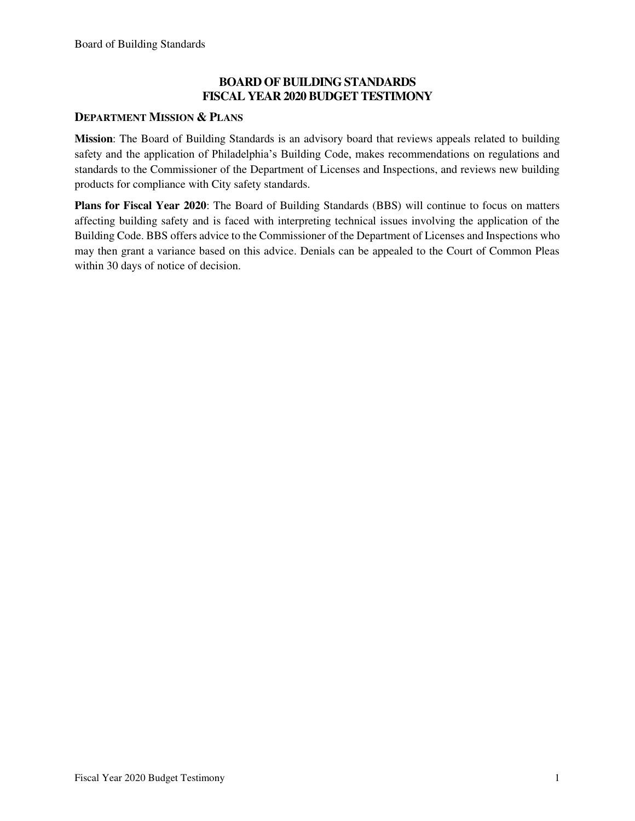## **BOARD OF BUILDING STANDARDS FISCAL YEAR 2020 BUDGET TESTIMONY**

#### **DEPARTMENT MISSION & PLANS**

**Mission**: The Board of Building Standards is an advisory board that reviews appeals related to building safety and the application of Philadelphia's Building Code, makes recommendations on regulations and standards to the Commissioner of the Department of Licenses and Inspections, and reviews new building products for compliance with City safety standards.

**Plans for Fiscal Year 2020**: The Board of Building Standards (BBS) will continue to focus on matters affecting building safety and is faced with interpreting technical issues involving the application of the Building Code. BBS offers advice to the Commissioner of the Department of Licenses and Inspections who may then grant a variance based on this advice. Denials can be appealed to the Court of Common Pleas within 30 days of notice of decision.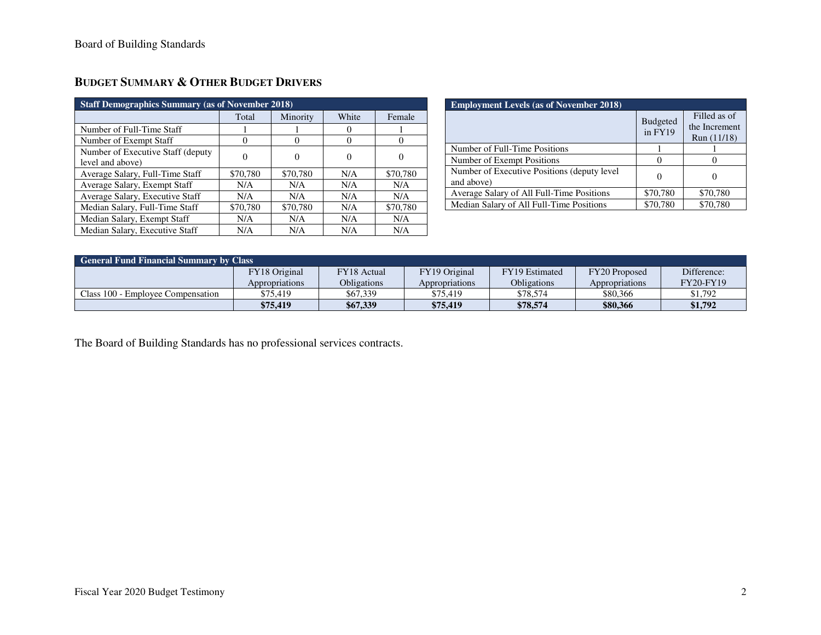| <b>Staff Demographics Summary (as of November 2018)</b> |          |          |          |          |  |
|---------------------------------------------------------|----------|----------|----------|----------|--|
|                                                         | Total    | Minority | White    | Female   |  |
| Number of Full-Time Staff                               |          |          | $\theta$ |          |  |
| Number of Exempt Staff                                  | $\theta$ | $\theta$ | $\Omega$ |          |  |
| Number of Executive Staff (deputy)<br>level and above)  | 0        |          | 0        |          |  |
| Average Salary, Full-Time Staff                         | \$70,780 | \$70,780 | N/A      | \$70,780 |  |
| Average Salary, Exempt Staff                            | N/A      | N/A      | N/A      | N/A      |  |
| Average Salary, Executive Staff                         | N/A      | N/A      | N/A      | N/A      |  |
| Median Salary, Full-Time Staff                          | \$70,780 | \$70,780 | N/A      | \$70,780 |  |
| Median Salary, Exempt Staff                             | N/A      | N/A      | N/A      | N/A      |  |
| Median Salary, Executive Staff                          | N/A      | N/A      | N/A      | N/A      |  |

| Budget Summary & Other Budget Drivers |  |
|---------------------------------------|--|
|---------------------------------------|--|

| <b>Employment Levels (as of November 2018)</b>            |                              |                                              |  |  |  |
|-----------------------------------------------------------|------------------------------|----------------------------------------------|--|--|--|
|                                                           | <b>Budgeted</b><br>in $FY19$ | Filled as of<br>the Increment<br>Run (11/18) |  |  |  |
| Number of Full-Time Positions                             |                              |                                              |  |  |  |
| Number of Exempt Positions                                |                              |                                              |  |  |  |
| Number of Executive Positions (deputy level<br>and above) |                              |                                              |  |  |  |
| Average Salary of All Full-Time Positions                 | \$70,780                     | \$70,780                                     |  |  |  |
| Median Salary of All Full-Time Positions                  | \$70,780                     | \$70,780                                     |  |  |  |

| <b>General Fund Financial Summary by Class</b> |                |             |                      |                |                |                  |
|------------------------------------------------|----------------|-------------|----------------------|----------------|----------------|------------------|
|                                                | FY18 Original  | FY18 Actual | <b>FY19 Original</b> | FY19 Estimated | FY20 Proposed  | Difference:      |
|                                                | Appropriations | Obligations | Appropriations       | Obligations    | Appropriations | <b>FY20-FY19</b> |
| Class 100 - Employee Compensation              | \$75.419       | \$67.339    | \$75,419             | \$78,574       | \$80,366       | \$1.792          |
|                                                | \$75,419       | \$67,339    | \$75,419             | \$78,574       | \$80,366       | \$1,792          |

The Board of Building Standards has no professional services contracts.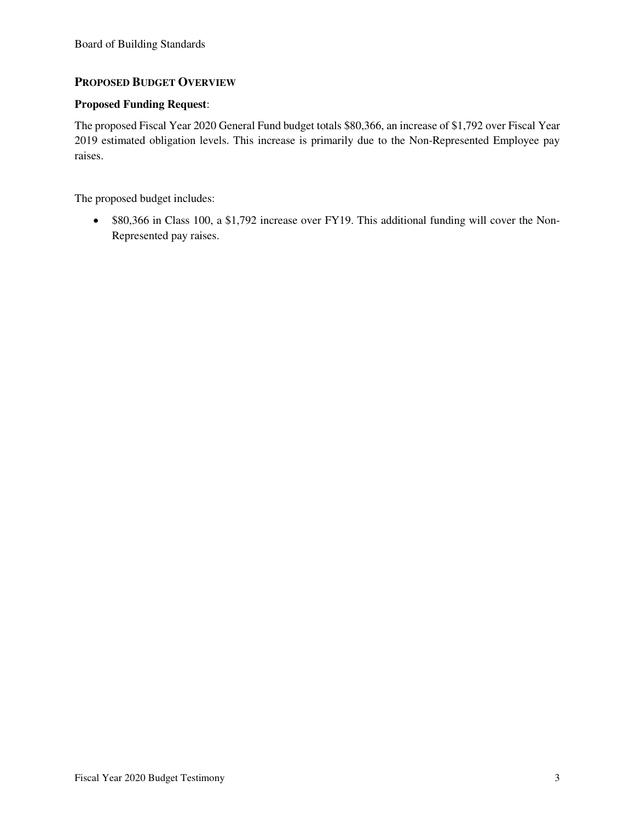#### **PROPOSED BUDGET OVERVIEW**

#### **Proposed Funding Request**:

The proposed Fiscal Year 2020 General Fund budget totals \$80,366, an increase of \$1,792 over Fiscal Year 2019 estimated obligation levels. This increase is primarily due to the Non-Represented Employee pay raises.

The proposed budget includes:

• \$80,366 in Class 100, a \$1,792 increase over FY19. This additional funding will cover the Non-Represented pay raises.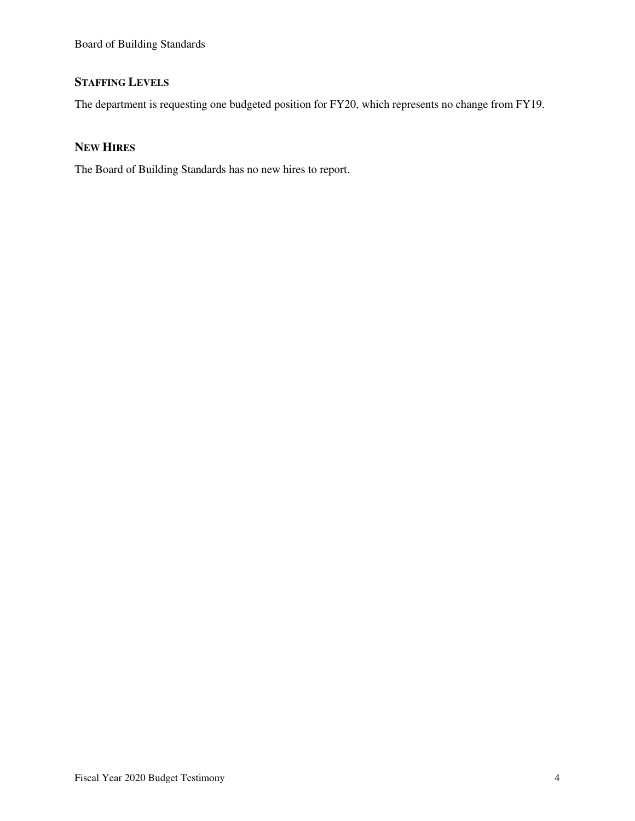# **STAFFING LEVELS**

The department is requesting one budgeted position for FY20, which represents no change from FY19.

## **NEW HIRES**

The Board of Building Standards has no new hires to report.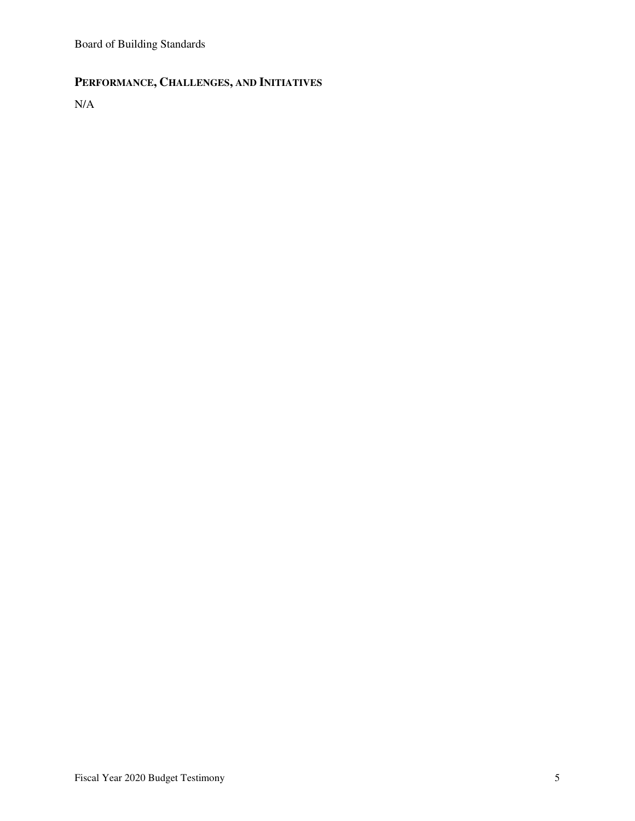# **PERFORMANCE, CHALLENGES, AND INITIATIVES**

N/A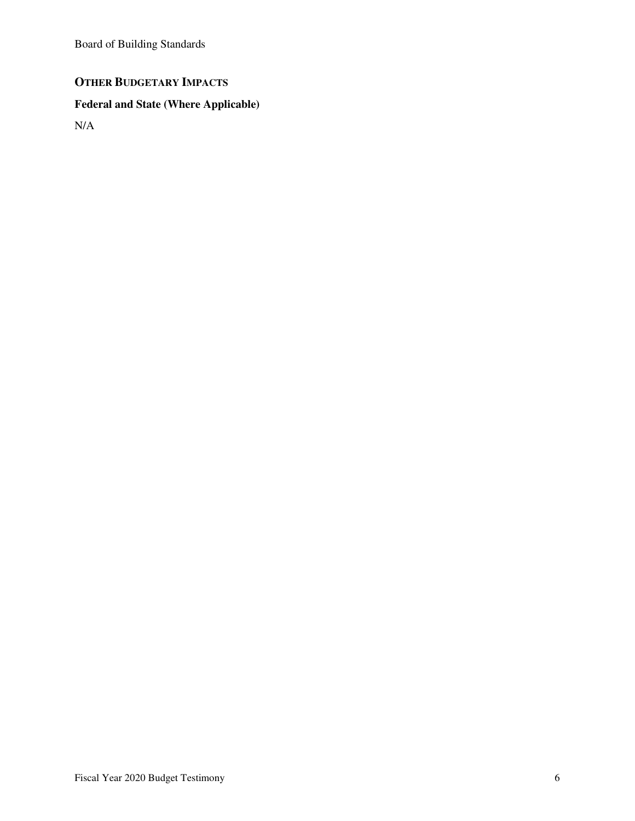# **OTHER BUDGETARY IMPACTS**

# **Federal and State (Where Applicable)**

N/A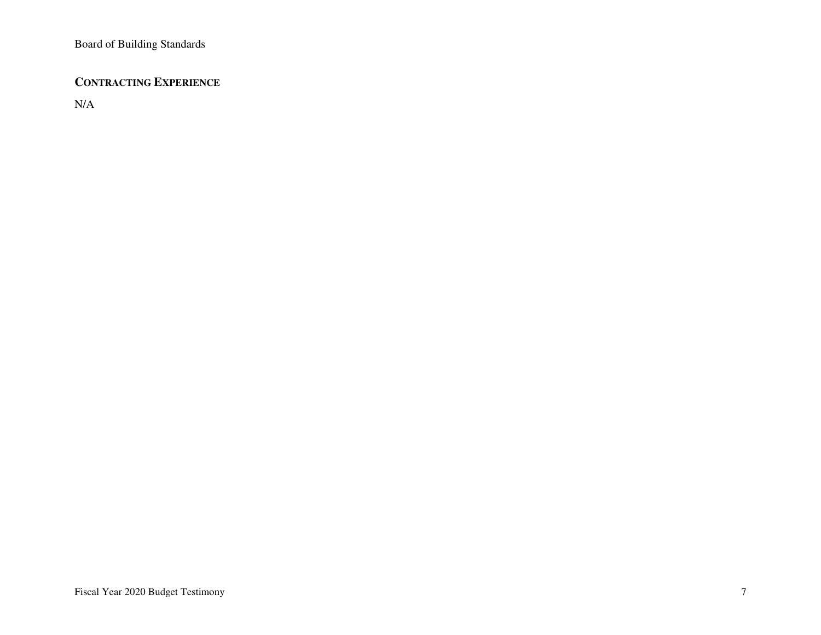## **CONTRACTING EXPERIENCE**

N/A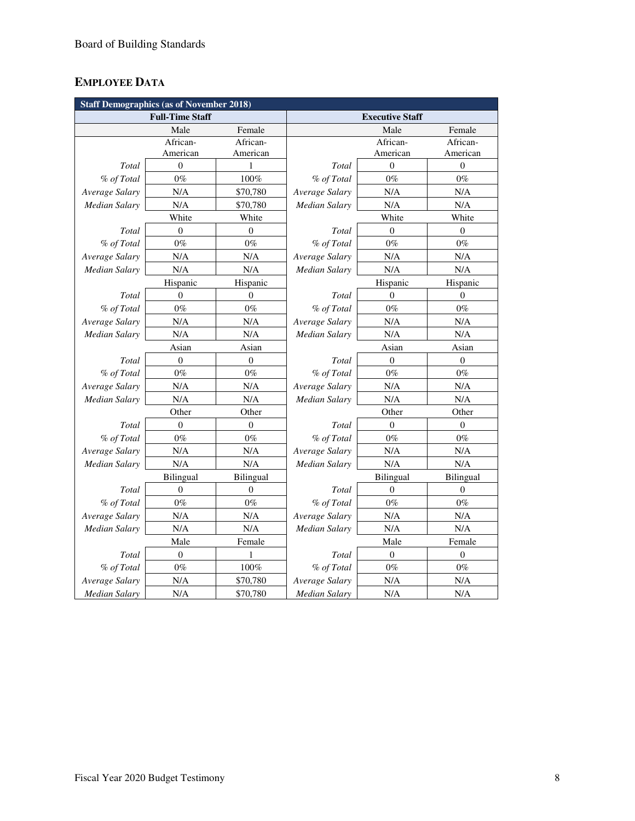# **EMPLOYEE DATA**

| <b>Staff Demographics (as of November 2018)</b> |                  |                  |                        |                  |                  |  |
|-------------------------------------------------|------------------|------------------|------------------------|------------------|------------------|--|
| <b>Full-Time Staff</b>                          |                  |                  | <b>Executive Staff</b> |                  |                  |  |
|                                                 | Male             | Female           |                        | Male             | Female           |  |
|                                                 | African-         | African-         |                        | African-         | African-         |  |
|                                                 | American         | American         |                        | American         | American         |  |
| Total                                           | $\boldsymbol{0}$ | $\mathbf{1}$     | <b>Total</b>           | $\theta$         | $\boldsymbol{0}$ |  |
| % of Total                                      | $0\%$            | 100%             | % of Total             | $0\%$            | $0\%$            |  |
| Average Salary                                  | N/A              | \$70,780         | Average Salary         | N/A              | N/A              |  |
| Median Salary                                   | N/A              | \$70,780         | Median Salary          | N/A              | N/A              |  |
|                                                 | White            | White            |                        | White            | White            |  |
| Total                                           | $\boldsymbol{0}$ | 0                | Total                  | $\mathbf{0}$     | $\theta$         |  |
| % of Total                                      | $0\%$            | $0\%$            | % of Total             | $0\%$            | $0\%$            |  |
| Average Salary                                  | N/A              | N/A              | Average Salary         | N/A              | N/A              |  |
| <b>Median Salary</b>                            | N/A              | N/A              | Median Salary          | N/A              | N/A              |  |
|                                                 | Hispanic         | Hispanic         |                        | Hispanic         | Hispanic         |  |
| Total                                           | $\overline{0}$   | $\overline{0}$   | Total                  | $\mathbf{0}$     | $\mathbf{0}$     |  |
| % of Total                                      | $0\%$            | $0\%$            | % of Total             | $0\%$            | $0\%$            |  |
| Average Salary                                  | N/A              | N/A              | Average Salary         | N/A              | N/A              |  |
| <b>Median Salary</b>                            | N/A              | N/A              | <b>Median Salary</b>   | N/A              | N/A              |  |
|                                                 | Asian            | Asian            |                        | Asian            | Asian            |  |
| Total                                           | $\boldsymbol{0}$ | $\boldsymbol{0}$ | Total                  | $\boldsymbol{0}$ | $\boldsymbol{0}$ |  |
| % of Total                                      | $0\%$            | $0\%$            | % of Total             | $0\%$            | $0\%$            |  |
| Average Salary                                  | N/A              | N/A              | Average Salary         | N/A              | N/A              |  |
| <b>Median Salary</b>                            | N/A              | N/A              | Median Salary          | N/A              | N/A              |  |
|                                                 | Other            | Other            |                        | Other            | Other            |  |
| Total                                           | $\overline{0}$   | $\overline{0}$   | Total                  | $\theta$         | $\mathbf{0}$     |  |
| % of Total                                      | $0\%$            | $0\%$            | % of Total             | $0\%$            | $0\%$            |  |
| Average Salary                                  | N/A              | N/A              | Average Salary         | N/A              | N/A              |  |
| Median Salary                                   | N/A              | N/A              | Median Salary          | N/A              | N/A              |  |
|                                                 | Bilingual        | Bilingual        |                        | <b>Bilingual</b> | Bilingual        |  |
| Total                                           | $\boldsymbol{0}$ | $\boldsymbol{0}$ | Total                  | $\mathbf{0}$     | $\boldsymbol{0}$ |  |
| % of Total                                      | $0\%$            | $0\%$            | % of Total             | $0\%$            | $0\%$            |  |
| Average Salary                                  | N/A              | N/A              | Average Salary         | N/A              | N/A              |  |
| Median Salary                                   | N/A              | N/A              | Median Salary          | N/A              | N/A              |  |
|                                                 | Male             | Female           |                        | Male             | Female           |  |
| Total                                           | $\boldsymbol{0}$ | 1                | Total                  | $\mathbf{0}$     | $\mathbf{0}$     |  |
| % of Total                                      | $0\%$            | 100%             | % of Total             | $0\%$            | $0\%$            |  |
| Average Salary                                  | N/A              | \$70,780         | Average Salary         | N/A              | N/A              |  |
| Median Salary                                   | N/A              | \$70,780         | Median Salary          | N/A              | N/A              |  |